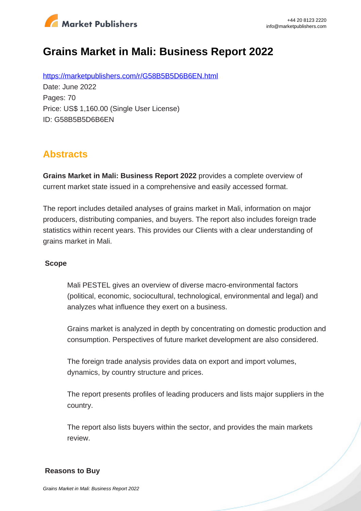

# **Grains Market in Mali: Business Report 2022**

https://marketpublishers.com/r/G58B5B5D6B6EN.html Date: June 2022 Pages: 70 Price: US\$ 1,160.00 (Single User License) ID: G58B5B5D6B6EN

### **Abstracts**

**Grains Market in Mali: Business Report 2022** provides a complete overview of current market state issued in a comprehensive and easily accessed format.

The report includes detailed analyses of grains market in Mali, information on major producers, distributing companies, and buyers. The report also includes foreign trade statistics within recent years. This provides our Clients with a clear understanding of grains market in Mali.

#### **Scope**

Mali PESTEL gives an overview of diverse macro-environmental factors (political, economic, sociocultural, technological, environmental and legal) and analyzes what influence they exert on a business.

Grains market is analyzed in depth by concentrating on domestic production and consumption. Perspectives of future market development are also considered.

The foreign trade analysis provides data on export and import volumes, dynamics, by country structure and prices.

The report presents profiles of leading producers and lists major suppliers in the country.

The report also lists buyers within the sector, and provides the main markets review.

#### **Reasons to Buy**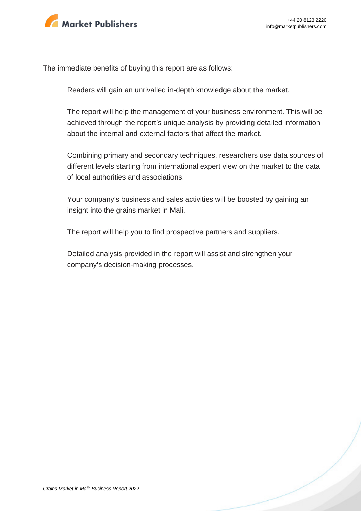

The immediate benefits of buying this report are as follows:

Readers will gain an unrivalled in-depth knowledge about the market.

The report will help the management of your business environment. This will be achieved through the report's unique analysis by providing detailed information about the internal and external factors that affect the market.

Combining primary and secondary techniques, researchers use data sources of different levels starting from international expert view on the market to the data of local authorities and associations.

Your company's business and sales activities will be boosted by gaining an insight into the grains market in Mali.

The report will help you to find prospective partners and suppliers.

Detailed analysis provided in the report will assist and strengthen your company's decision-making processes.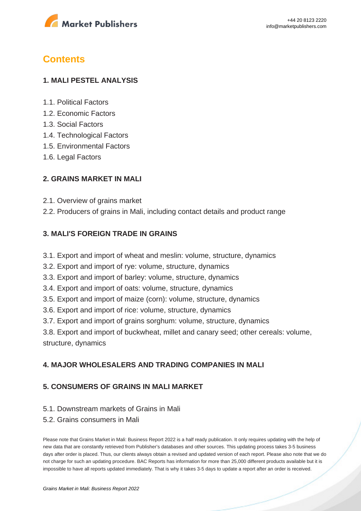

## **Contents**

#### **1. MALI PESTEL ANALYSIS**

- 1.1. Political Factors
- 1.2. Economic Factors
- 1.3. Social Factors
- 1.4. Technological Factors
- 1.5. Environmental Factors
- 1.6. Legal Factors

#### **2. GRAINS MARKET IN MALI**

- 2.1. Overview of grains market
- 2.2. Producers of grains in Mali, including contact details and product range

#### **3. MALI'S FOREIGN TRADE IN GRAINS**

- 3.1. Export and import of wheat and meslin: volume, structure, dynamics
- 3.2. Export and import of rye: volume, structure, dynamics
- 3.3. Export and import of barley: volume, structure, dynamics
- 3.4. Export and import of oats: volume, structure, dynamics
- 3.5. Export and import of maize (corn): volume, structure, dynamics
- 3.6. Export and import of rice: volume, structure, dynamics
- 3.7. Export and import of grains sorghum: volume, structure, dynamics

3.8. Export and import of buckwheat, millet and canary seed; other cereals: volume, structure, dynamics

#### **4. MAJOR WHOLESALERS AND TRADING COMPANIES IN MALI**

#### **5. CONSUMERS OF GRAINS IN MALI MARKET**

- 5.1. Downstream markets of Grains in Mali
- 5.2. Grains consumers in Mali

Please note that Grains Market in Mali: Business Report 2022 is a half ready publication. It only requires updating with the help of new data that are constantly retrieved from Publisher's databases and other sources. This updating process takes 3-5 business days after order is placed. Thus, our clients always obtain a revised and updated version of each report. Please also note that we do not charge for such an updating procedure. BAC Reports has information for more than 25,000 different products available but it is impossible to have all reports updated immediately. That is why it takes 3-5 days to update a report after an order is received.